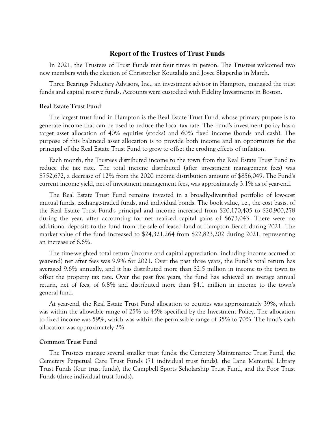# Report of the Trustees of Trust Funds

In 2021, the Trustees of Trust Funds met four times in person. The Trustees welcomed two new members with the election of Christopher Koutalidis and Joyce Skaperdas in March.

Three Bearings Fiduciary Advisors, Inc., an investment advisor in Hampton, managed the trust funds and capital reserve funds. Accounts were custodied with Fidelity Investments in Boston.

#### Real Estate Trust Fund

The largest trust fund in Hampton is the Real Estate Trust Fund, whose primary purpose is to generate income that can be used to reduce the local tax rate. The Fund's investment policy has a target asset allocation of 40% equities (stocks) and 60% fixed income (bonds and cash). The purpose of this balanced asset allocation is to provide both income and an opportunity for the principal of the Real Estate Trust Fund to grow to offset the eroding effects of inflation.

Each month, the Trustees distributed income to the town from the Real Estate Trust Fund to reduce the tax rate. The total income distributed (after investment management fees) was \$752,672, a decrease of 12% from the 2020 income distribution amount of \$856,049. The Fund's current income yield, net of investment management fees, was approximately 3.1% as of year-end.

The Real Estate Trust Fund remains invested in a broadly-diversified portfolio of low-cost mutual funds, exchange-traded funds, and individual bonds. The book value, i.e., the cost basis, of the Real Estate Trust Fund's principal and income increased from \$20,170,405 to \$20,900,278 during the year, after accounting for net realized capital gains of \$673,043. There were no additional deposits to the fund from the sale of leased land at Hampton Beach during 2021. The market value of the fund increased to \$24,321,264 from \$22,823,202 during 2021, representing an increase of 6.6%.

The time-weighted total return (income and capital appreciation, including income accrued at year-end) net after fees was 9.9% for 2021. Over the past three years, the Fund's total return has averaged 9.6% annually, and it has distributed more than \$2.5 million in income to the town to offset the property tax rate. Over the past five years, the fund has achieved an average annual return, net of fees, of 6.8% and distributed more than \$4.1 million in income to the town's general fund.

At year-end, the Real Estate Trust Fund allocation to equities was approximately 39%, which was within the allowable range of 25% to 45% specified by the Investment Policy. The allocation to fixed income was 59%, which was within the permissible range of 35% to 70%. The fund's cash allocation was approximately 2%.

### Common Trust Fund

The Trustees manage several smaller trust funds: the Cemetery Maintenance Trust Fund, the Cemetery Perpetual Care Trust Funds (71 individual trust funds), the Lane Memorial Library Trust Funds (four trust funds), the Campbell Sports Scholarship Trust Fund, and the Poor Trust Funds (three individual trust funds).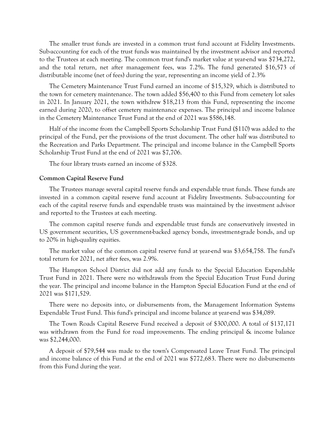The smaller trust funds are invested in a common trust fund account at Fidelity Investments. Sub-accounting for each of the trust funds was maintained by the investment advisor and reported to the Trustees at each meeting. The common trust fund's market value at year-end was \$734,272, and the total return, net after management fees, was 7.2%. The fund generated \$16,573 of distributable income (net of fees) during the year, representing an income yield of 2.3%

The Cemetery Maintenance Trust Fund earned an income of \$15,329, which is distributed to the town for cemetery maintenance. The town added \$56,400 to this Fund from cemetery lot sales in 2021. In January 2021, the town withdrew \$18,213 from this Fund, representing the income earned during 2020, to offset cemetery maintenance expenses. The principal and income balance in the Cemetery Maintenance Trust Fund at the end of 2021 was \$586,148.

Half of the income from the Campbell Sports Scholarship Trust Fund (\$110) was added to the principal of the Fund, per the provisions of the trust document. The other half was distributed to the Recreation and Parks Department. The principal and income balance in the Campbell Sports Scholarship Trust Fund at the end of 2021 was \$7,706.

The four library trusts earned an income of \$328.

### Common Capital Reserve Fund

The Trustees manage several capital reserve funds and expendable trust funds. These funds are invested in a common capital reserve fund account at Fidelity Investments. Sub-accounting for each of the capital reserve funds and expendable trusts was maintained by the investment advisor and reported to the Trustees at each meeting.

The common capital reserve funds and expendable trust funds are conservatively invested in US government securities, US government-backed agency bonds, investment-grade bonds, and up to 20% in high-quality equities.

The market value of the common capital reserve fund at year-end was \$3,654,758. The fund's total return for 2021, net after fees, was 2.9%.

The Hampton School District did not add any funds to the Special Education Expendable Trust Fund in 2021. There were no withdrawals from the Special Education Trust Fund during the year. The principal and income balance in the Hampton Special Education Fund at the end of 2021 was \$171,529.

There were no deposits into, or disbursements from, the Management Information Systems Expendable Trust Fund. This fund's principal and income balance at year-end was \$34,089.

The Town Roads Capital Reserve Fund received a deposit of \$300,000. A total of \$137,171 was withdrawn from the Fund for road improvements. The ending principal  $\&$  income balance was \$2,244,000.

A deposit of \$79,544 was made to the town's Compensated Leave Trust Fund. The principal and income balance of this Fund at the end of 2021 was \$772,683. There were no disbursements from this Fund during the year.